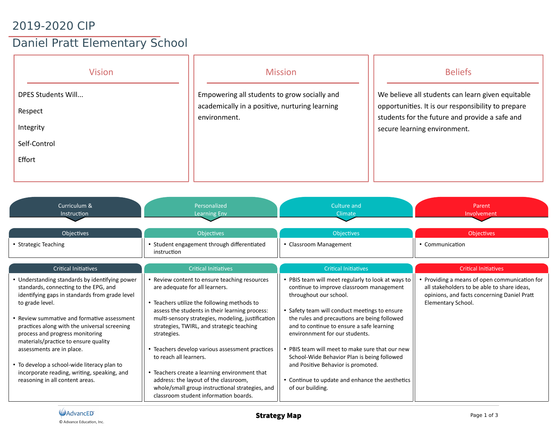## 2019-2020 CIP

## Daniel Pratt Elementary School

| <b>Vision</b>                 | <b>Mission</b>                                                                                                 | <b>Beliefs</b>                                                                                                                                            |  |
|-------------------------------|----------------------------------------------------------------------------------------------------------------|-----------------------------------------------------------------------------------------------------------------------------------------------------------|--|
| DPES Students Will<br>Respect | Empowering all students to grow socially and<br>academically in a positive, nurturing learning<br>environment. | We believe all students can learn given equitable<br>opportunities. It is our responsibility to prepare<br>students for the future and provide a safe and |  |
| Integrity                     |                                                                                                                | secure learning environment.                                                                                                                              |  |
| Self-Control                  |                                                                                                                |                                                                                                                                                           |  |
| Effort                        |                                                                                                                |                                                                                                                                                           |  |
|                               |                                                                                                                |                                                                                                                                                           |  |
|                               |                                                                                                                |                                                                                                                                                           |  |

| Curriculum &<br>Instruction                                                                                                                                                                                                                                                                                                                                         | Personalized<br><b>Learning Env</b>                                                                                                                                                                                                                                                                                                                                            | Culture and<br>Climate                                                                                                                                                                                                                                                                                                                                                                                     | Parent<br>Involvement                                                                                                                                             |
|---------------------------------------------------------------------------------------------------------------------------------------------------------------------------------------------------------------------------------------------------------------------------------------------------------------------------------------------------------------------|--------------------------------------------------------------------------------------------------------------------------------------------------------------------------------------------------------------------------------------------------------------------------------------------------------------------------------------------------------------------------------|------------------------------------------------------------------------------------------------------------------------------------------------------------------------------------------------------------------------------------------------------------------------------------------------------------------------------------------------------------------------------------------------------------|-------------------------------------------------------------------------------------------------------------------------------------------------------------------|
| Objectives                                                                                                                                                                                                                                                                                                                                                          | <b>Objectives</b>                                                                                                                                                                                                                                                                                                                                                              | <b>Objectives</b>                                                                                                                                                                                                                                                                                                                                                                                          | <b>Objectives</b>                                                                                                                                                 |
| • Strategic Teaching                                                                                                                                                                                                                                                                                                                                                | • Student engagement through differentiated<br>instruction                                                                                                                                                                                                                                                                                                                     | • Classroom Management                                                                                                                                                                                                                                                                                                                                                                                     | • Communication                                                                                                                                                   |
| <b>Critical Initiatives</b>                                                                                                                                                                                                                                                                                                                                         | <b>Critical Initiatives</b>                                                                                                                                                                                                                                                                                                                                                    | <b>Critical Initiatives</b>                                                                                                                                                                                                                                                                                                                                                                                | <b>Critical Initiatives</b>                                                                                                                                       |
| • Understanding standards by identifying power<br>standards, connecting to the EPG, and<br>identifying gaps in standards from grade level<br>to grade level.<br>• Review summative and formative assessment<br>practices along with the universal screening<br>process and progress monitoring<br>materials/practice to ensure quality<br>assessments are in place. | • Review content to ensure teaching resources<br>are adequate for all learners.<br>• Teachers utilize the following methods to<br>assess the students in their learning process:<br>multi-sensory strategies, modeling, justification<br>strategies, TWIRL, and strategic teaching<br>strategies.<br>• Teachers develop various assessment practices<br>to reach all learners. | • PBIS team will meet regularly to look at ways to<br>continue to improve classroom management<br>throughout our school.<br>• Safety team will conduct meetings to ensure<br>the rules and precautions are being followed<br>and to continue to ensure a safe learning<br>environnment for our students.<br>• PBIS team will meet to make sure that our new<br>School-Wide Behavior Plan is being followed | • Providing a means of open communication for<br>all stakeholders to be able to share ideas,<br>opinions, and facts concerning Daniel Pratt<br>Elementary School. |
| • To develop a school-wide literacy plan to<br>incorporate reading, writing, speaking, and<br>reasoning in all content areas.                                                                                                                                                                                                                                       | • Teachers create a learning environment that<br>address: the layout of the classroom,<br>whole/small group instructional strategies, and<br>classroom student information boards.                                                                                                                                                                                             | and Positive Behavior is promoted.<br>• Continue to update and enhance the aesthetics<br>of our building.                                                                                                                                                                                                                                                                                                  |                                                                                                                                                                   |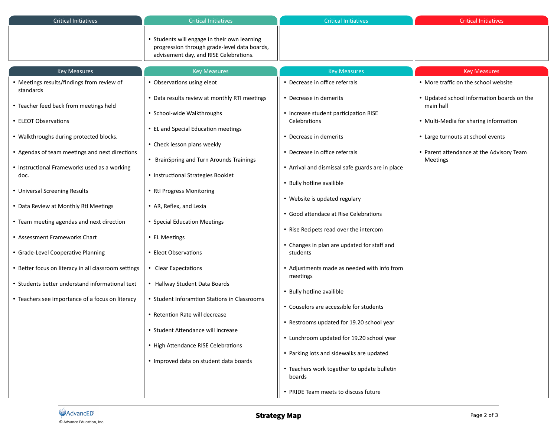| <b>Critical Initiatives</b>                                                | <b>Critical Initiatives</b>                                                                                                            | <b>Critical Initiatives</b>                                                             | <b>Critical Initiatives</b>                             |
|----------------------------------------------------------------------------|----------------------------------------------------------------------------------------------------------------------------------------|-----------------------------------------------------------------------------------------|---------------------------------------------------------|
|                                                                            | • Students will engage in their own learning<br>progression through grade-level data boards,<br>advisement day, and RISE Celebrations. |                                                                                         |                                                         |
| <b>Key Measures</b>                                                        | <b>Key Measures</b>                                                                                                                    | <b>Key Measures</b>                                                                     | <b>Key Measures</b>                                     |
| • Meetings results/findings from review of<br>standards                    | • Observations using eleot                                                                                                             | • Decrease in office referrals                                                          | • More traffic on the school website                    |
| • Teacher feed back from meetings held                                     | • Data results review at monthly RTI meetings                                                                                          | • Decrease in demerits                                                                  | • Updated school information boards on the<br>main hall |
| • ELEOT Observations                                                       | • School-wide Walkthroughs<br>• EL and Special Education meetings                                                                      | • Increase student participation RISE<br>Celebrations                                   | • Multi-Media for sharing information                   |
| • Walkthroughs during protected blocks.                                    | • Check lesson plans weekly                                                                                                            | • Decrease in demerits                                                                  | • Large turnouts at school events                       |
| • Agendas of team meetings and next directions                             | • BrainSpring and Turn Arounds Trainings                                                                                               | • Decrease in office referrals                                                          | • Parent attendance at the Advisory Team<br>Meetings    |
| • Instructional Frameworks used as a working<br>doc.                       | • Instructional Strategies Booklet                                                                                                     | • Arrival and dismissal safe guards are in place<br>• Bully hotline availible           |                                                         |
| • Universal Screening Results                                              | • Rtl Progress Monitoring                                                                                                              | • Website is updated regulary                                                           |                                                         |
| • Data Review at Monthly RtI Meetings                                      | • AR, Reflex, and Lexia                                                                                                                | • Good attendace at Rise Celebrations                                                   |                                                         |
| • Team meeting agendas and next direction<br>• Assessment Frameworks Chart | • Special Education Meetings<br>• EL Meetings                                                                                          | • Rise Recipets read over the intercom                                                  |                                                         |
| • Grade-Level Cooperative Planning                                         | • Eleot Observations                                                                                                                   | • Changes in plan are updated for staff and<br>students                                 |                                                         |
| • Better focus on literacy in all classroom settings                       | • Clear Expectations                                                                                                                   | • Adjustments made as needed with info from<br>meetings                                 |                                                         |
| • Students better understand informational text                            | • Hallway Student Data Boards                                                                                                          | • Bully hotline availible                                                               |                                                         |
| • Teachers see importance of a focus on literacy                           | • Student Inforamtion Stations in Classrooms                                                                                           | • Couselors are accessible for students                                                 |                                                         |
|                                                                            | • Retention Rate will decrease<br>• Student Attendance will increase                                                                   | • Restrooms updated for 19.20 school year                                               |                                                         |
|                                                                            | • High Attendance RISE Celebrations                                                                                                    | • Lunchroom updated for 19.20 school year                                               |                                                         |
|                                                                            | • Improved data on student data boards                                                                                                 | • Parking lots and sidewalks are updated<br>• Teachers work together to update bulletin |                                                         |
|                                                                            |                                                                                                                                        | boards                                                                                  |                                                         |
|                                                                            |                                                                                                                                        | PRIDE Team meets to discuss future                                                      |                                                         |